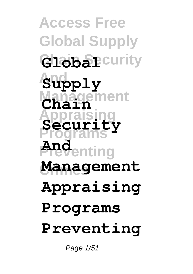**Access Free Global Supply Global** Curity **And Supply Management Chain Appraising Programs Preventing Crimes Management Security And Appraising Programs Preventing**

Page 1/51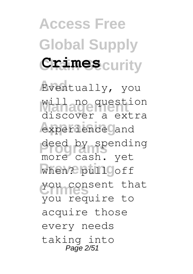## **Access Free Global Supply Chain Security Crimes**

**And** Eventually, you will no question **Appraising** experience and deed by spending when? pull off you consent that discover a extra more cash. yet you require to acquire those every needs taking into Page 2/51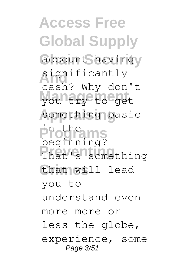**Access Free Global Supply** account havingy significantly **Management** you try to get something basic **Programs** beginning? That's something that will lead cash? Why don't in the you to understand even more more or less the globe, experience, some Page 3/51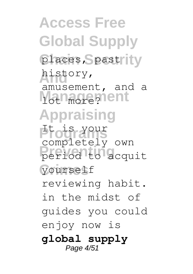**Access Free Global Supply** places, Spastrity history, **Management Appraising** Programs **Preventing** period to acquit **Crimes** yourself amusement, and a completely own reviewing habit. in the midst of guides you could enjoy now is **global supply** Page 4/51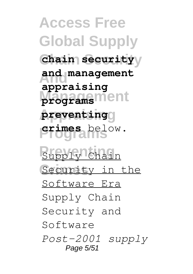**Access Free Global Supply Chain Security chain security And and management Management programs Appraising preventing Programs crimes** below. **Supply Chain** Security in the **appraising** Software Era Supply Chain Security and Software *Post-2001 supply* Page 5/51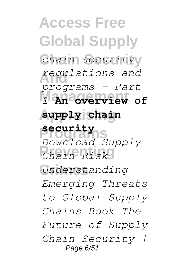**Access Free Global Supply Chain Security** *chain security* **And** *regulations and* **Management** *1* **An overview of Appraising supply chain Programs security Preventing** *Chain Risk* **Crimes** *Understanding programs – Part Download Supply Emerging Threats to Global Supply Chains Book The Future of Supply Chain Security |* Page 6/51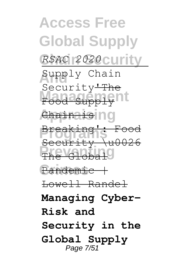**Access Free Global Supply Chain Security** *RSAC 2020* Supply Chain Food Supply<sup>nt</sup> *<u>Chainais</u>* **Programs** Breaking': Food **Prevelobal** Pandemic | Security<del>'The</del> Security \u0026 Lowell Randel **Managing Cyber-Risk and Security in the Global Supply** Page 7/51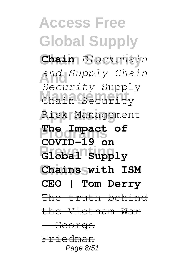**Access Free Global Supply Chain Security Chain** *Blockchain* **And** *and Supply Chain* Chain Security **Appraising** Risk Management **Programs The Impact of Preventing Global Supply Crimes Chains with ISM** *Security* Supply **COVID-19 on CEO | Tom Derry** The truth behind the Vietnam War <del>| George</del> Friedman Page 8/51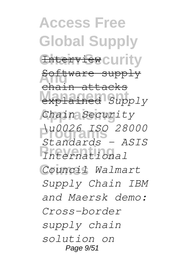**Access Free Global Supply** Enterview curity **And** Software supply explained *Supply* **Appraising** *Chain Security* **Programs** *\u0026 ISO 28000* **Preventing** *International* **Crimes** *Council Walmart* ain attacks *Standards - ASIS Supply Chain IBM and Maersk demo: Cross-border supply chain solution on* Page  $9/51$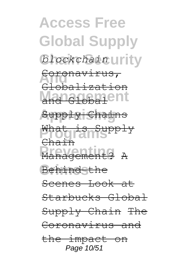**Access Free Global Supply**  $blockchain$ *urity* Coronavirus, and Global<sup>ent</sup> **Appraising** Supply Chains **Programs** What is Supply **Preventing** Management? A **Behindsthe** Globalization Chain Scenes Look at Starbucks Global Supply Chain The Coronavirus and the impact on Page 10/51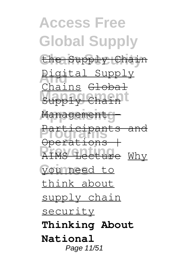**Access Free Global Supply Chain Security** the Supply Chain **Digital Supply Management** Management g **Programs** Participants and **Preventing** AIMS Lecture Why **Crimes** you need to Chains <del>Global</del> Operations | think about supply chain security **Thinking About National** Page 11/51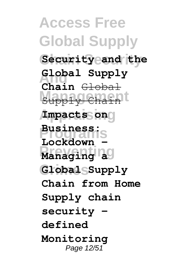**Access Free Global Supply Chain Security Security and the And Global Supply** Supply Chain<sup>t</sup> **Appraising Impacts on Programs Business: Preventing Managing a Crimes Global Supply Chain** Global Lockdown **Chain from Home Supply chain security defined Monitoring** Page 12/51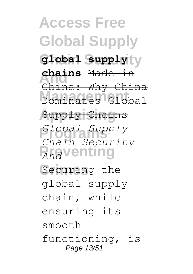**Access Free Global Supply Chain Security global supply And chains** Made in **Management** Dominates Global **Appraising** Supply Chains **Programs** *Global Supply* **Prediction** Securing the China: Why China *Chain Security* global supply chain, while ensuring its smooth functioning, is Page 13/51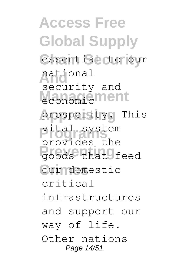**Access Free Global Supply** essential to our **And** national **Management Appraising** prosperity. This **Programs** vital system **Previews** that feed **Crimes** our domestic security and provides the critical infrastructures and support our way of life. Other nations Page 14/51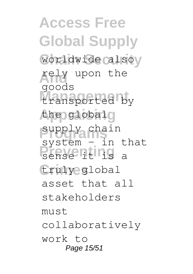**Access Free Global Supply** worldwide alsoy **And** rely upon the transported by the globalg supply chain **Preventing** a truly global goods system – in that asset that all stakeholders  $m$ ust collaboratively work to Page 15/51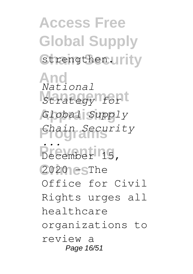**Access Free Global Supply** strengthen.urity

**And Management** *Strategy for* **Appraising** *Global Supply* **Programs** *Chain Security* **Prevention**<br>
<u>Prevention</u><br>
15 2020 esThe *National ...* December 15, Office for Civil Rights urges all healthcare organizations to review a Page 16/51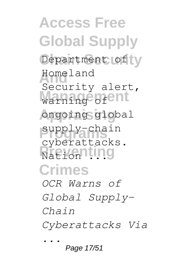**Access Free Global Supply** Department of y **And** Homeland warning of and **Appraising** ongoing global supply-chain **Nation ... Crimes** Security alert, cyberattacks. *OCR Warns of Global Supply-Chain Cyberattacks Via ...*

Page 17/51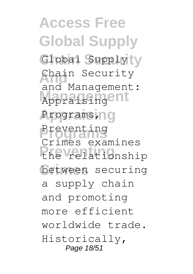**Access Free Global Supply** Global Supplyty Chain Security and namagement **Appraising** Programs, Preventing<br>
<sup>*C*</sup> **Preventing** the relationship **Crimes** between securing and Management: Crimes examines a supply chain and promoting more efficient worldwide trade. Historically, Page 18/51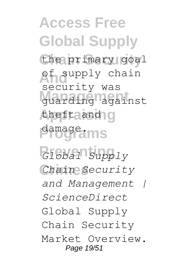**Access Free Global Supply** the primary goal **Andupply chain Management** guarding against the fta and ng **Programs** damage. security was

**Preventing** *Global Supply* **Crimes** *Chain Security and Management | ScienceDirect* Global Supply Chain Security Market Overview. Page 19/51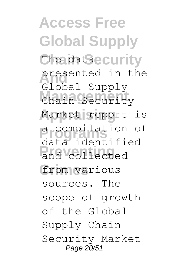**Access Free Global Supply** The dataecurity presented in the Chain Security Market report is **Programs** a compilation of and collected from various Global Supply data identified sources. The scope of growth of the Global Supply Chain Security Market Page 20/51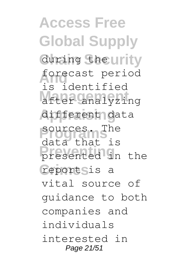**Access Free Global Supply** during the urity **And** forecast period **Management** after analyzing **Appraising** different data sources. The **Preventing** presented in the reportsis a is identified data that is vital source of guidance to both companies and individuals interested in Page 21/51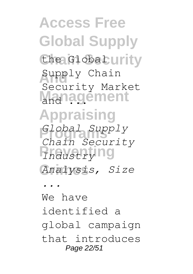**Access Free Global Supply** the Global urity Supply Chain Management **Appraising Programs** *Global Supply Predistry*<sup>ng</sup> **Crimes** *Analysis, Size* Security Market *Chain Security*

We have identified a global campaign that introduces Page 22/51

*...*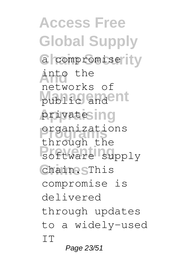**Access Free Global Supply** a compromise ity **And** into the public and ant **Appraising** private **Programs** organizations **Prevention Crimes** chain. This networks of through the compromise is delivered through updates to a widely-used IT

Page 23/51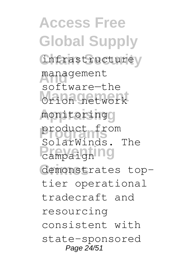**Access Free Global Supply** infrastructurey management **Management** Orion network monitoring<sub>0</sub> **Programs** product from **Prevention Crimes** demonstrates topsoftware—the SolarWinds. The tier operational tradecraft and resourcing consistent with state-sponsored Page 24/51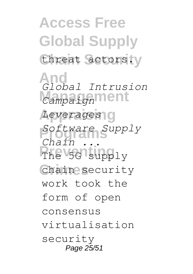**Access Free Global Supply** threat actors.y

**And** *Global Intrusion* **Campaignment Appraising** *Leverages* **Programs** *Software Supply* The 5G supply **Crimes** chain security  $Ch$  $i$ *n* work took the form of open consensus virtualisation security Page 25/51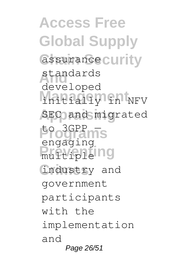**Access Free Global Supply** assurance curity standards **Management** initially in NFV **Appraising** SEC and migrated **Programs** to 3GPP — **Predictiple Crimes** industry and developed engaging government participants with the implementation and Page 26/51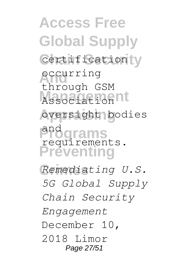**Access Free Global Supply** Certification y **And** occurring **Management** Association **Appraising** oversight bodies and orams<br>requirements. **Preventing** through GSM and

**Crimes** *Remediating U.S. 5G Global Supply Chain Security Engagement* December 10, 2018 Limor Page 27/51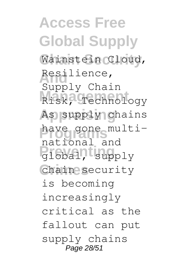**Access Free Global Supply Chain Security** Wainstein Cloud, Resilience, Risk, Technology As supply chains **Programs** have gone multi-**Preventing** global, supply **Crimes** chain security Supply Chain national and is becoming increasingly critical as the fallout can put supply chains Page 28/51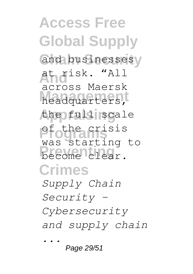**Access Free Global Supply** and businessesy **And** at risk. "All **Management** headquarters, the full scale **Programs** of the crisis become clear. **Crimes** across Maersk was starting to *Supply Chain Security - Cybersecurity and supply chain ...*

Page 29/51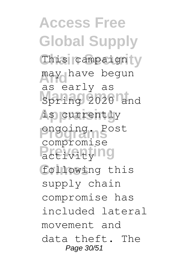**Access Free Global Supply** This campaign y may have begun **Management** Spring 2020 and **Appraising** is currently **Programs** ongoing. Post **Pactivitying Crimes** following this as early as compromise supply chain compromise has included lateral movement and data theft. The Page 30/51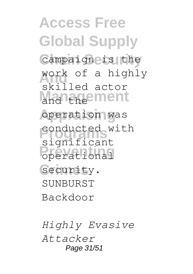**Access Free Global Supply** Campaign is the work of a highly **Management Appraising** operation was **Programs** significant **Preventing** operational Security. skilled actor conducted with **SUNBURST** Backdoor

*Highly Evasive Attacker* Page 31/51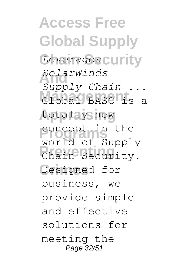**Access Free Global Supply** Leverages curity **And** *SolarWinds* Global BASC<sup>1</sup>is a **Appraising** totally new **Programs** concept in the **Prevention Crimes** Designed for *Supply Chain ...* world of Supply business, we provide simple and effective solutions for meeting the Page 32/51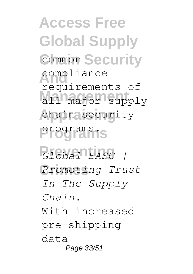**Access Free Global Supply Common Security** compliance all major supply chain security **Programs** programs. **Preventing** *Global BASC |* requirements of

**Crimes** *Promoting Trust In The Supply Chain.* With increased pre-shipping data Page 33/51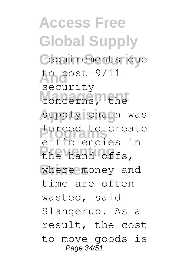**Access Free Global Supply Chain Security** requirements due **And** to post-9/11 **Management** supply chain was **Programs** efficiencies in **Preventing** the hand-offs, where money and security forced to create time are often wasted, said Slangerup. As a result, the cost to move goods is Page 34/51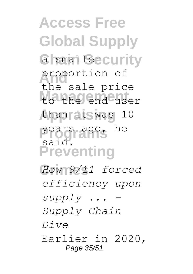**Access Free Global Supply** a smaller curity **And** proportion of **Management** to the end user **Appraising** than it was 10 **Programs** years ago, he **Preventing Crimes** *How 9/11 forced* the sale price said. *efficiency upon supply ... -*

*Supply Chain*

*Dive*

Earlier in 2020, Page 35/51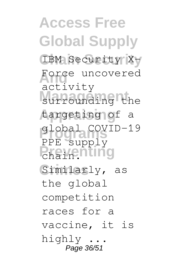**Access Free Global Supply** IBM Security X-**And** activity surrounding the **Appraising** targeting of a **Programs** global COVID-19 **Preventing** Similarly, as Force uncovered PPE supply the global competition races for a vaccine, it is highly ... Page 36/51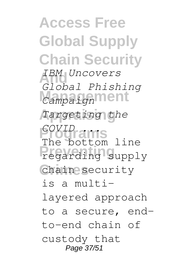**Access Free Global Supply Chain Security And** *IBM Uncovers* **Campaignment Appraising** *Targeting the* **Programs** The bottom line **Preventing** regarding supply **Crimes** chain security *Global Phishing COVID ...* is a multilayered approach to a secure, endto-end chain of custody that Page 37/51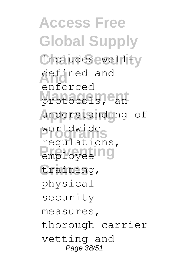**Access Free Global Supply** includes well-y defined and protocols, ean **Appraising** understanding of **Programs** regulations, **Preventing** employee **Crimes** training, enforced worldwide physical security measures, thorough carrier vetting and Page 38/51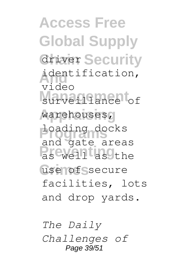**Access Free Global Supply Griver Security And** identification, surveillance of **Appraising** warehouses, **Programs** loading docks **Preventing** as well as the use of ssecure video and gate areas facilities, lots and drop yards.

*The Daily Challenges of* Page 39/51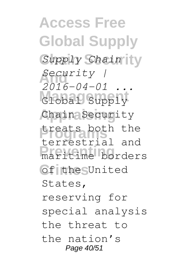**Access Free Global Supply Chain Security** *Supply Chain* **And** *Security |* Global Supply Chain Security **Programs** treats both the **Preventing** maritime borders **Crimes** of the United  $2016 - 04 - 01$ terrestrial and States, reserving for special analysis the threat to the nation's Page 40/51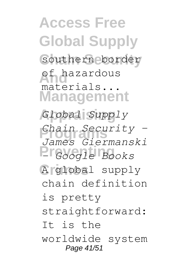**Access Free Global Supply Chain Security** southern border **Andrew Andrew Schools Management Appraising** *Global Supply* **Programs** *Chain Security -* **Preventing** *- Google Books* **Crimes** A global supply materials... *James Giermanski* chain definition is pretty straightforward: It is the worldwide system Page 41/51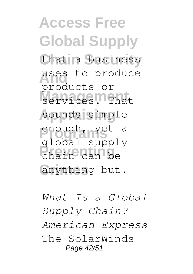**Access Free Global Supply** that a business uses to produce services. That sounds simple **Programs** enough, yet a **Preventing** chain can be **Crimes** anything but. products or global supply

*What Is a Global Supply Chain? - American Express* The SolarWinds Page 42/51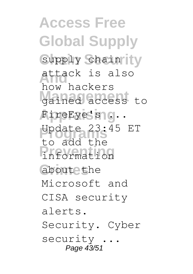**Access Free Global Supply** supply chain ity **And** attack is also **Management** gained access to FireEye's sig... **Programs** Update 23:45 ET **Preventing** information about the how hackers to add the Microsoft and CISA security alerts. Security. Cyber security ... Page 43/51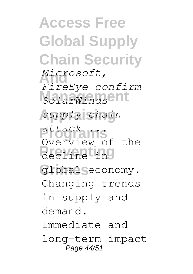**Access Free Global Supply Chain Security And** *FireEye confirm* **Management** *SolarWinds*  $supply$  chain **Programs** *attack ...* **Preventing** decline in **Crimes** global economy. *Microsoft,* Overview of the Changing trends in supply and demand. Immediate and long-term impact Page 44/51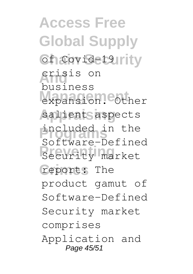**Access Free Global Supply Covid-19Irity And** crisis on expansion. Other salient aspects **Programs** included in the **Preventity** market report: The business Software-Defined product gamut of Software-Defined Security market comprises Application and Page 45/51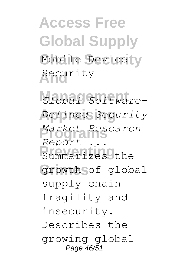**Access Free Global Supply** Mobile Device y **And** Security

Global Software-**Appraising** *Defined Security* **Programs** *Market Research* **Preventing** Summarizes the **Crimes** growth of global *Report ...* supply chain fragility and insecurity. Describes the growing global Page 46/51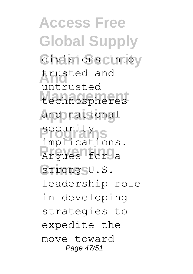**Access Free Global Supply** divisions cintoy **And** trusted and **Management** technospheres **Appraising** and national **Programs** security **Preventing** Argues for a strong<sub>SU.S.</sub> untrusted implications. leadership role in developing strategies to expedite the move toward Page 47/51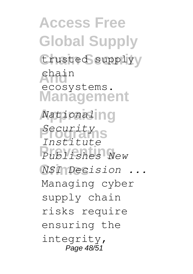**Access Free Global Supply** trusted supplyy **And** chain **Management Appraising** *National* **Programs** *Security* **Preventing** *Publishes New* **Crimes** *NSI Decision ...* ecosystems. *Institute* Managing cyber supply chain risks require ensuring the integrity, Page 48/51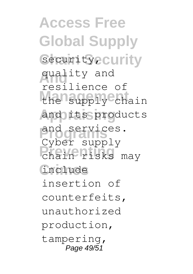**Access Free Global Supply** Security<sub>2</sub> Curity **And** quality and the supply chain **Appraising** and its products and services. **Preventing** chain risks may **Crimes** include resilience of Cyber supply insertion of counterfeits, unauthorized production, tampering, Page 49/51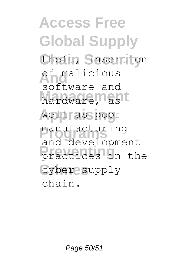**Access Free Global Supply** theft, *Snsertion* **And** of malicious hardware, ast **Appraising** well as poor manufacturing<br>and development **Practices** in the **Crimes** cyber supply software and manufacturing chain.